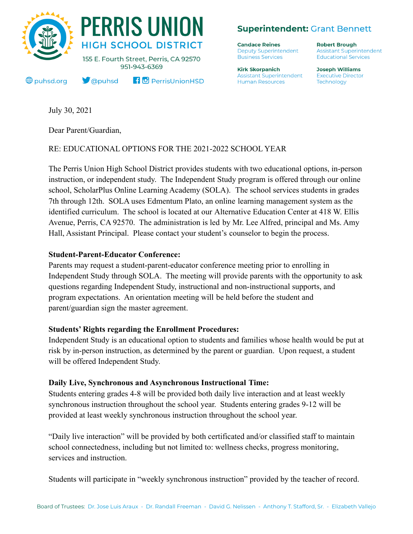

**Superintendent: Grant Bennett** 

**Candace Reines Deputy Superintendent Business Services** 

**Kirk Skorpanich Assistant Superintendent Human Resources** 

**Robert Brough Assistant Superintendent Educational Services** 

**Joseph Williams Executive Director** Technology

July 30, 2021

Dear Parent/Guardian,

# RE: EDUCATIONAL OPTIONS FOR THE 2021-2022 SCHOOL YEAR

The Perris Union High School District provides students with two educational options, in-person instruction, or independent study. The Independent Study program is offered through our online school, ScholarPlus Online Learning Academy (SOLA). The school services students in grades 7th through 12th. SOLA uses Edmentum Plato, an online learning management system as the identified curriculum. The school is located at our Alternative Education Center at 418 W. Ellis Avenue, Perris, CA 92570. The administration is led by Mr. Lee Alfred, principal and Ms. Amy Hall, Assistant Principal. Please contact your student's counselor to begin the process.

### **Student-Parent-Educator Conference:**

Parents may request a student-parent-educator conference meeting prior to enrolling in Independent Study through SOLA. The meeting will provide parents with the opportunity to ask questions regarding Independent Study, instructional and non-instructional supports, and program expectations. An orientation meeting will be held before the student and parent/guardian sign the master agreement.

### **Students' Rights regarding the Enrollment Procedures:**

Independent Study is an educational option to students and families whose health would be put at risk by in-person instruction, as determined by the parent or guardian. Upon request, a student will be offered Independent Study.

### **Daily Live, Synchronous and Asynchronous Instructional Time:**

Students entering grades 4-8 will be provided both daily live interaction and at least weekly synchronous instruction throughout the school year. Students entering grades 9-12 will be provided at least weekly synchronous instruction throughout the school year.

"Daily live interaction" will be provided by both certificated and/or classified staff to maintain school connectedness, including but not limited to: wellness checks, progress monitoring, services and instruction.

Students will participate in "weekly synchronous instruction" provided by the teacher of record.